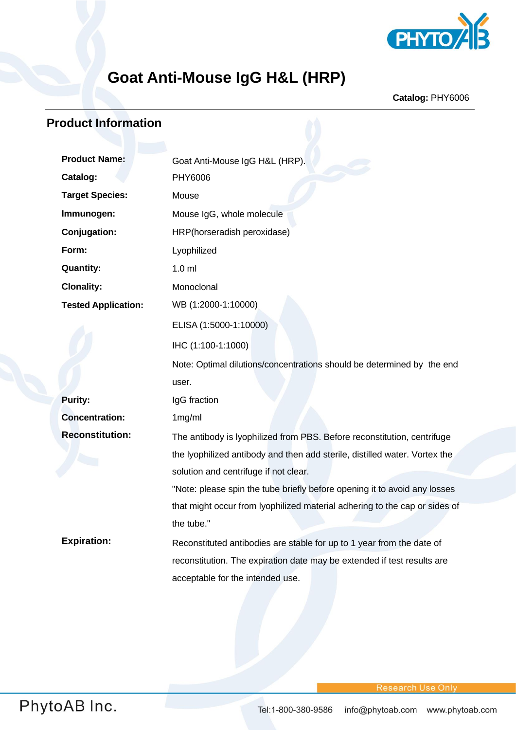

# **Goat Anti-Mouse IgG H&L (HRP)**

**Catalog:** PHY6006

## **Product Information**

| <b>Product Name:</b>       | Goat Anti-Mouse IgG H&L (HRP).                                             |
|----------------------------|----------------------------------------------------------------------------|
| Catalog:                   | PHY6006                                                                    |
| <b>Target Species:</b>     | Mouse                                                                      |
| Immunogen:                 | Mouse IgG, whole molecule                                                  |
| Conjugation:               | HRP(horseradish peroxidase)                                                |
| Form:                      | Lyophilized                                                                |
| <b>Quantity:</b>           | 1.0 <sub>m</sub>                                                           |
| <b>Clonality:</b>          | Monoclonal                                                                 |
| <b>Tested Application:</b> | WB (1:2000-1:10000)                                                        |
|                            | ELISA (1:5000-1:10000)                                                     |
|                            | IHC (1:100-1:1000)                                                         |
|                            | Note: Optimal dilutions/concentrations should be determined by the end     |
|                            | user.                                                                      |
| <b>Purity:</b>             | IgG fraction                                                               |
| <b>Concentration:</b>      | 1mg/ml                                                                     |
| <b>Reconstitution:</b>     | The antibody is lyophilized from PBS. Before reconstitution, centrifuge    |
|                            | the lyophilized antibody and then add sterile, distilled water. Vortex the |
|                            | solution and centrifuge if not clear.                                      |
|                            | "Note: please spin the tube briefly before opening it to avoid any losses  |
|                            | that might occur from lyophilized material adhering to the cap or sides of |
|                            | the tube."                                                                 |
| <b>Expiration:</b>         | Reconstituted antibodies are stable for up to 1 year from the date of      |
|                            | reconstitution. The expiration date may be extended if test results are    |
|                            | acceptable for the intended use.                                           |
|                            |                                                                            |

**Research Use Only**